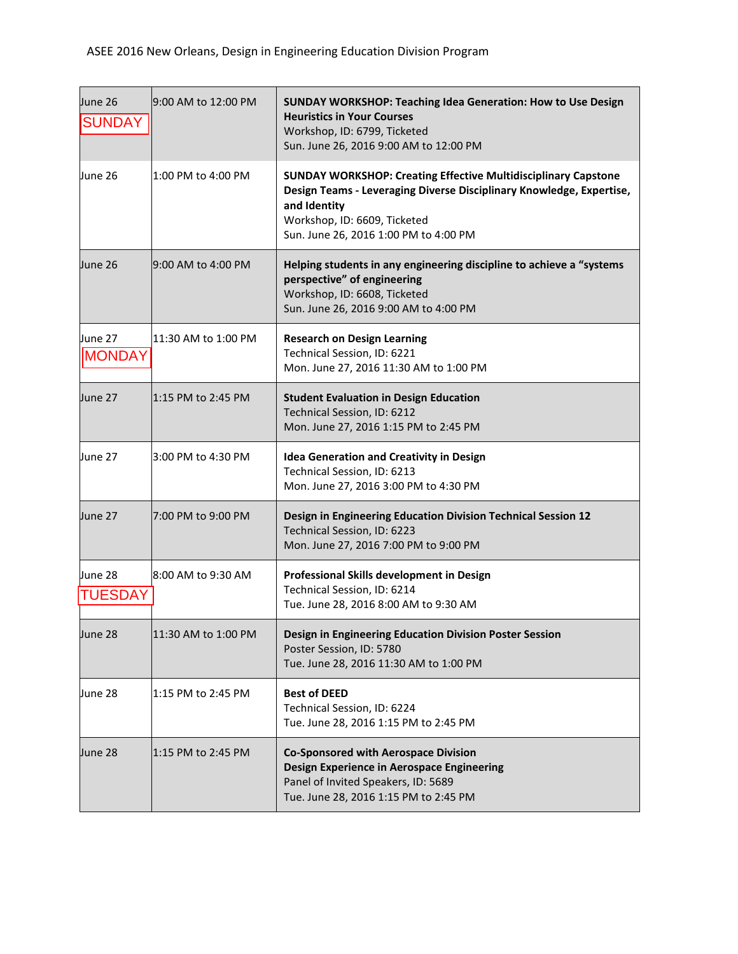| June 26<br><b>SUNDAY</b> | 9:00 AM to 12:00 PM | <b>SUNDAY WORKSHOP: Teaching Idea Generation: How to Use Design</b><br><b>Heuristics in Your Courses</b><br>Workshop, ID: 6799, Ticketed<br>Sun. June 26, 2016 9:00 AM to 12:00 PM                                                     |
|--------------------------|---------------------|----------------------------------------------------------------------------------------------------------------------------------------------------------------------------------------------------------------------------------------|
| June 26                  | 1:00 PM to 4:00 PM  | <b>SUNDAY WORKSHOP: Creating Effective Multidisciplinary Capstone</b><br>Design Teams - Leveraging Diverse Disciplinary Knowledge, Expertise,<br>and Identity<br>Workshop, ID: 6609, Ticketed<br>Sun. June 26, 2016 1:00 PM to 4:00 PM |
| June 26                  | 9:00 AM to 4:00 PM  | Helping students in any engineering discipline to achieve a "systems<br>perspective" of engineering<br>Workshop, ID: 6608, Ticketed<br>Sun. June 26, 2016 9:00 AM to 4:00 PM                                                           |
| June 27<br><b>MONDAY</b> | 11:30 AM to 1:00 PM | <b>Research on Design Learning</b><br>Technical Session, ID: 6221<br>Mon. June 27, 2016 11:30 AM to 1:00 PM                                                                                                                            |
| June 27                  | 1:15 PM to 2:45 PM  | <b>Student Evaluation in Design Education</b><br>Technical Session, ID: 6212<br>Mon. June 27, 2016 1:15 PM to 2:45 PM                                                                                                                  |
| June 27                  | l3:00 PM to 4:30 PM | <b>Idea Generation and Creativity in Design</b><br>Technical Session, ID: 6213<br>Mon. June 27, 2016 3:00 PM to 4:30 PM                                                                                                                |
| June 27                  | 7:00 PM to 9:00 PM  | Design in Engineering Education Division Technical Session 12<br>Technical Session, ID: 6223<br>Mon. June 27, 2016 7:00 PM to 9:00 PM                                                                                                  |
| June 28<br>TUESDAY       | 8:00 AM to 9:30 AM  | Professional Skills development in Design<br>Technical Session, ID: 6214<br>Tue. June 28, 2016 8:00 AM to 9:30 AM                                                                                                                      |
| June 28                  | 11:30 AM to 1:00 PM | Design in Engineering Education Division Poster Session<br>Poster Session, ID: 5780<br>Tue. June 28, 2016 11:30 AM to 1:00 PM                                                                                                          |
| June 28                  | 1:15 PM to 2:45 PM  | <b>Best of DEED</b><br>Technical Session, ID: 6224<br>Tue. June 28, 2016 1:15 PM to 2:45 PM                                                                                                                                            |
| June 28                  | 1:15 PM to 2:45 PM  | <b>Co-Sponsored with Aerospace Division</b><br>Design Experience in Aerospace Engineering<br>Panel of Invited Speakers, ID: 5689<br>Tue. June 28, 2016 1:15 PM to 2:45 PM                                                              |